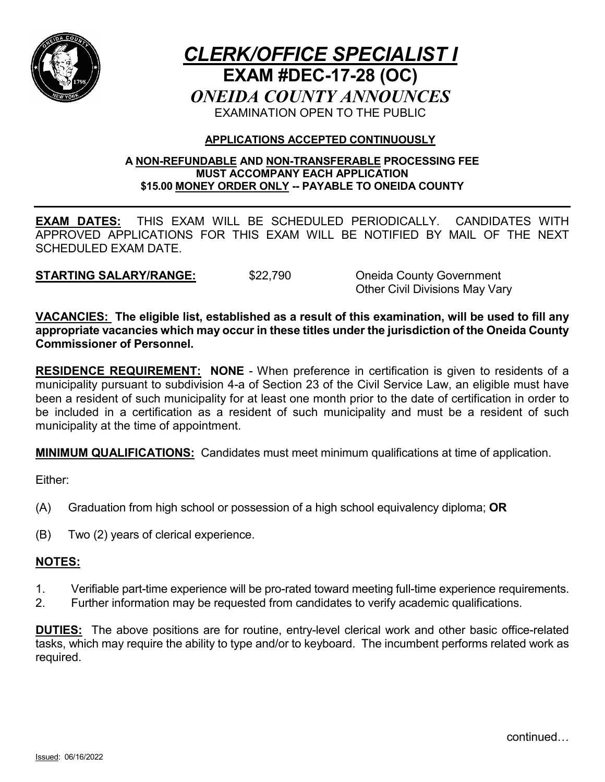

# *CLERK/OFFICE SPECIALIST I* **EXAM #DEC-17-28 (OC)** *ONEIDA COUNTY ANNOUNCES* EXAMINATION OPEN TO THE PUBLIC

### **APPLICATIONS ACCEPTED CONTINUOUSLY**

#### **A NON-REFUNDABLE AND NON-TRANSFERABLE PROCESSING FEE MUST ACCOMPANY EACH APPLICATION \$15.00 MONEY ORDER ONLY -- PAYABLE TO ONEIDA COUNTY**

**EXAM DATES:** THIS EXAM WILL BE SCHEDULED PERIODICALLY. CANDIDATES WITH APPROVED APPLICATIONS FOR THIS EXAM WILL BE NOTIFIED BY MAIL OF THE NEXT SCHEDULED EXAM DATE.

**STARTING SALARY/RANGE:** \$22,790 Oneida County Government

Other Civil Divisions May Vary

**VACANCIES: The eligible list, established as a result of this examination, will be used to fill any appropriate vacancies which may occur in these titles under the jurisdiction of the Oneida County Commissioner of Personnel.**

**RESIDENCE REQUIREMENT: NONE** - When preference in certification is given to residents of a municipality pursuant to subdivision 4-a of Section 23 of the Civil Service Law, an eligible must have been a resident of such municipality for at least one month prior to the date of certification in order to be included in a certification as a resident of such municipality and must be a resident of such municipality at the time of appointment.

**MINIMUM QUALIFICATIONS:** Candidates must meet minimum qualifications at time of application.

Either:

- (A) Graduation from high school or possession of a high school equivalency diploma; **OR**
- (B) Two (2) years of clerical experience.

## **NOTES:**

- 1. Verifiable part-time experience will be pro-rated toward meeting full-time experience requirements.
- 2. Further information may be requested from candidates to verify academic qualifications.

**DUTIES:** The above positions are for routine, entry-level clerical work and other basic office-related tasks, which may require the ability to type and/or to keyboard. The incumbent performs related work as required.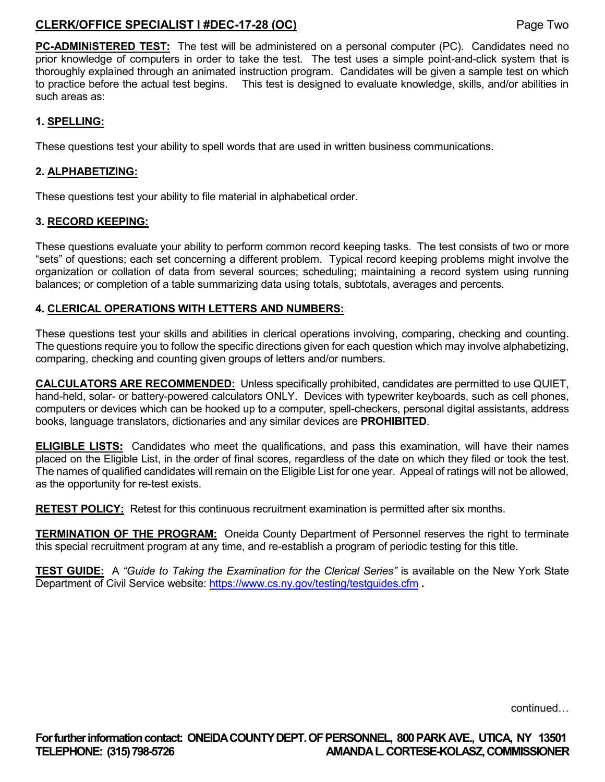## **CLERK/OFFICE SPECIALIST I #DEC-17-28 (OC)** Page Two

**PC-ADMINISTERED TEST:** The test will be administered on a personal computer (PC). Candidates need no prior knowledge of computers in order to take the test. The test uses a simple point-and-click system that is thoroughly explained through an animated instruction program. Candidates will be given a sample test on which to practice before the actual test begins. This test is designed to evaluate knowledge, skills, and/or abilities in such areas as:

#### **1. SPELLING:**

These questions test your ability to spell words that are used in written business communications.

#### **2. ALPHABETIZING:**

These questions test your ability to file material in alphabetical order.

#### **3. RECORD KEEPING:**

These questions evaluate your ability to perform common record keeping tasks. The test consists of two or more "sets" of questions; each set concerning a different problem. Typical record keeping problems might involve the organization or collation of data from several sources; scheduling; maintaining a record system using running balances; or completion of a table summarizing data using totals, subtotals, averages and percents.

#### **4. CLERICAL OPERATIONS WITH LETTERS AND NUMBERS:**

These questions test your skills and abilities in clerical operations involving, comparing, checking and counting. The questions require you to follow the specific directions given for each question which may involve alphabetizing, comparing, checking and counting given groups of letters and/or numbers.

**CALCULATORS ARE RECOMMENDED:** Unless specifically prohibited, candidates are permitted to use QUIET, hand-held, solar- or battery-powered calculators ONLY. Devices with typewriter keyboards, such as cell phones, computers or devices which can be hooked up to a computer, spell-checkers, personal digital assistants, address books, language translators, dictionaries and any similar devices are **PROHIBITED**.

**ELIGIBLE LISTS:** Candidates who meet the qualifications, and pass this examination, will have their names placed on the Eligible List, in the order of final scores, regardless of the date on which they filed or took the test. The names of qualified candidates will remain on the Eligible List for one year. Appeal of ratings will not be allowed, as the opportunity for re-test exists.

**RETEST POLICY:** Retest for this continuous recruitment examination is permitted after six months.

**TERMINATION OF THE PROGRAM:** Oneida County Department of Personnel reserves the right to terminate this special recruitment program at any time, and re-establish a program of periodic testing for this title.

**TEST GUIDE:** A *"Guide to Taking the Examination for the Clerical Series"* is available on the New York State Department of Civil Service website:<https://www.cs.ny.gov/testing/testguides.cfm> **.**

continued…